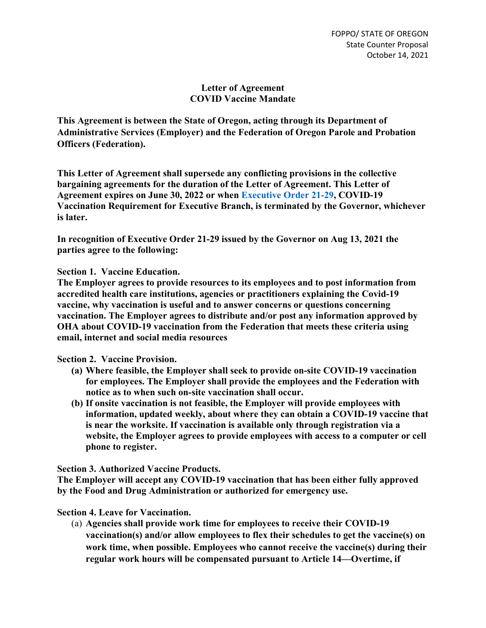## **Letter of Agreement COVID Vaccine Mandate**

**This Agreement is between the State of Oregon, acting through its Department of Administrative Services (Employer) and the Federation of Oregon Parole and Probation Officers (Federation).**

**This Letter of Agreement shall supersede any conflicting provisions in the collective bargaining agreements for the duration of the Letter of Agreement. This Letter of Agreement expires on June 30, 2022 or when [Executive Order 21-29,](https://www.oregon.gov/gov/Documents/executive_orders/eo_21-29.pdf) COVID-19 Vaccination Requirement for Executive Branch, is terminated by the Governor, whichever is later.**

**In recognition of Executive Order 21-29 issued by the Governor on Aug 13, 2021 the parties agree to the following:**

**Section 1. Vaccine Education.**

**The Employer agrees to provide resources to its employees and to post information from accredited health care institutions, agencies or practitioners explaining the Covid-19 vaccine, why vaccination is useful and to answer concerns or questions concerning vaccination. The Employer agrees to distribute and/or post any information approved by OHA about COVID-19 vaccination from the Federation that meets these criteria using email, internet and social media resources**

**Section 2. Vaccine Provision.**

- **(a) Where feasible, the Employer shall seek to provide on-site COVID-19 vaccination for employees. The Employer shall provide the employees and the Federation with notice as to when such on-site vaccination shall occur.**
- **(b) If onsite vaccination is not feasible, the Employer will provide employees with information, updated weekly, about where they can obtain a COVID-19 vaccine that is near the worksite. If vaccination is available only through registration via a website, the Employer agrees to provide employees with access to a computer or cell phone to register.**

**Section 3. Authorized Vaccine Products.**

**The Employer will accept any COVID-19 vaccination that has been either fully approved by the Food and Drug Administration or authorized for emergency use.**

**Section 4. Leave for Vaccination.**

(a) **Agencies shall provide work time for employees to receive their COVID-19 vaccination(s) and/or allow employees to flex their schedules to get the vaccine(s) on work time, when possible. Employees who cannot receive the vaccine(s) during their regular work hours will be compensated pursuant to Article 14—Overtime, if**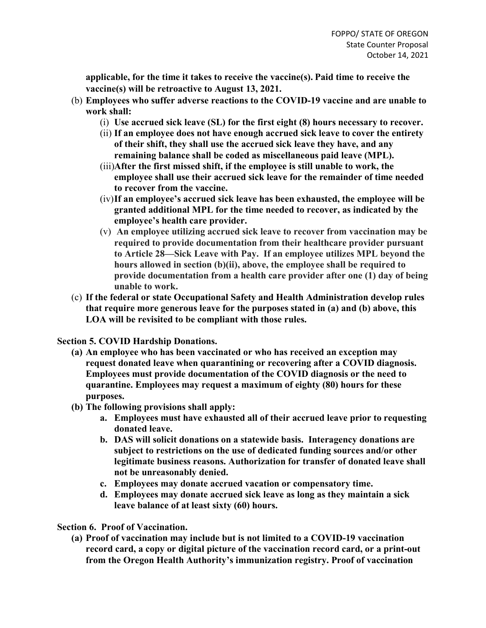**applicable, for the time it takes to receive the vaccine(s). Paid time to receive the vaccine(s) will be retroactive to August 13, 2021.**

- (b) **Employees who suffer adverse reactions to the COVID-19 vaccine and are unable to work shall:**
	- (i) **Use accrued sick leave (SL) for the first eight (8) hours necessary to recover.**
	- (ii) **If an employee does not have enough accrued sick leave to cover the entirety of their shift, they shall use the accrued sick leave they have, and any remaining balance shall be coded as miscellaneous paid leave (MPL).**
	- (iii)**After the first missed shift, if the employee is still unable to work, the employee shall use their accrued sick leave for the remainder of time needed to recover from the vaccine.**
	- (iv)**If an employee's accrued sick leave has been exhausted, the employee will be granted additional MPL for the time needed to recover, as indicated by the employee's health care provider.**
	- (v) **An employee utilizing accrued sick leave to recover from vaccination may be required to provide documentation from their healthcare provider pursuant to Article 28—Sick Leave with Pay. If an employee utilizes MPL beyond the hours allowed in section (b)(ii), above, the employee shall be required to provide documentation from a health care provider after one (1) day of being unable to work.**
- (c) **If the federal or state Occupational Safety and Health Administration develop rules that require more generous leave for the purposes stated in (a) and (b) above, this LOA will be revisited to be compliant with those rules.**

**Section 5. COVID Hardship Donations.**

- **(a) An employee who has been vaccinated or who has received an exception may request donated leave when quarantining or recovering after a COVID diagnosis. Employees must provide documentation of the COVID diagnosis or the need to quarantine. Employees may request a maximum of eighty (80) hours for these purposes.**
- **(b) The following provisions shall apply:**
	- **a. Employees must have exhausted all of their accrued leave prior to requesting donated leave.**
	- **b. DAS will solicit donations on a statewide basis. Interagency donations are subject to restrictions on the use of dedicated funding sources and/or other legitimate business reasons. Authorization for transfer of donated leave shall not be unreasonably denied.**
	- **c. Employees may donate accrued vacation or compensatory time.**
	- **d. Employees may donate accrued sick leave as long as they maintain a sick leave balance of at least sixty (60) hours.**

**Section 6. Proof of Vaccination.**

**(a) Proof of vaccination may include but is not limited to a COVID-19 vaccination record card, a copy or digital picture of the vaccination record card, or a print-out from the Oregon Health Authority's immunization registry. Proof of vaccination**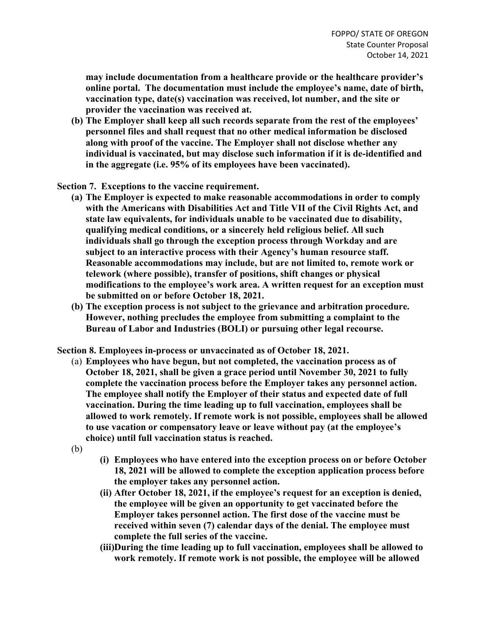**may include documentation from a healthcare provide or the healthcare provider's online portal. The documentation must include the employee's name, date of birth, vaccination type, date(s) vaccination was received, lot number, and the site or provider the vaccination was received at.**

**(b) The Employer shall keep all such records separate from the rest of the employees' personnel files and shall request that no other medical information be disclosed along with proof of the vaccine. The Employer shall not disclose whether any individual is vaccinated, but may disclose such information if it is de-identified and in the aggregate (i.e. 95% of its employees have been vaccinated).**

**Section 7. Exceptions to the vaccine requirement.** 

- **(a) The Employer is expected to make reasonable accommodations in order to comply with the Americans with Disabilities Act and Title VII of the Civil Rights Act, and state law equivalents, for individuals unable to be vaccinated due to disability, qualifying medical conditions, or a sincerely held religious belief. All such individuals shall go through the exception process through Workday and are subject to an interactive process with their Agency's human resource staff. Reasonable accommodations may include, but are not limited to, remote work or telework (where possible), transfer of positions, shift changes or physical modifications to the employee's work area. A written request for an exception must be submitted on or before October 18, 2021.**
- **(b) The exception process is not subject to the grievance and arbitration procedure. However, nothing precludes the employee from submitting a complaint to the Bureau of Labor and Industries (BOLI) or pursuing other legal recourse.**

**Section 8. Employees in-process or unvaccinated as of October 18, 2021.** 

- (a) **Employees who have begun, but not completed, the vaccination process as of October 18, 2021, shall be given a grace period until November 30, 2021 to fully complete the vaccination process before the Employer takes any personnel action. The employee shall notify the Employer of their status and expected date of full vaccination. During the time leading up to full vaccination, employees shall be allowed to work remotely. If remote work is not possible, employees shall be allowed to use vacation or compensatory leave or leave without pay (at the employee's choice) until full vaccination status is reached.**
- (b)
- **(i) Employees who have entered into the exception process on or before October 18, 2021 will be allowed to complete the exception application process before the employer takes any personnel action.**
- **(ii) After October 18, 2021, if the employee's request for an exception is denied, the employee will be given an opportunity to get vaccinated before the Employer takes personnel action. The first dose of the vaccine must be received within seven (7) calendar days of the denial. The employee must complete the full series of the vaccine.**
- **(iii)During the time leading up to full vaccination, employees shall be allowed to work remotely. If remote work is not possible, the employee will be allowed**